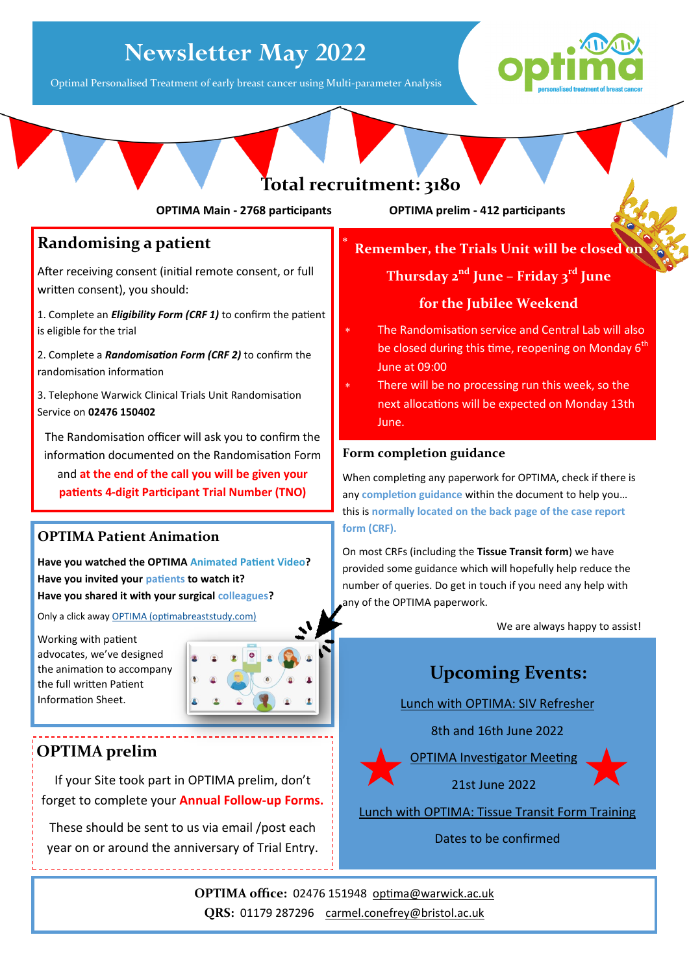# **Newsletter May 2022**

Optimal Personalised Treatment of early breast cancer using Multi-parameter Analysis





×

**OPTIMA Main - 2768 participants OPTIMA prelim - 412 participants**

### **Randomising a patient**

After receiving consent (initial remote consent, or full written consent), you should:

1. Complete an *Eligibility Form (CRF 1)* to confirm the patient is eligible for the trial

2. Complete a *Randomisation Form (CRF 2)* to confirm the randomisation information

3. Telephone Warwick Clinical Trials Unit Randomisation Service on **02476 150402**

The Randomisation officer will ask you to confirm the information documented on the Randomisation Form and **at the end of the call you will be given your patients 4-digit Participant Trial Number (TNO)**

#### **OPTIMA Patient Animation**

**Have you watched the OPTIMA Animated Patient Video? Have you invited your patients to watch it? Have you shared it with your surgical colleagues?**

Only a click away [OPTIMA \(optimabreaststudy.com\)](http://optimabreaststudy.com/)

Working with patient advocates, we've designed the animation to accompany the full written Patient Information Sheet.



### **OPTIMA prelim**

If your Site took part in OPTIMA prelim, don't forget to complete your **Annual Follow-up Forms.** 

These should be sent to us via email /post each year on or around the anniversary of Trial Entry.

**Remember, the Trials Unit will be closed on Thursday 2nd June – Friday 3rd June for the Jubilee Weekend** 

- The Randomisation service and Central Lab will also be closed during this time, reopening on Monday  $6<sup>th</sup>$ June at 09:00
- There will be no processing run this week, so the next allocations will be expected on Monday 13th June.

#### **Form completion guidance**

When completing any paperwork for OPTIMA, check if there is any **completion guidance** within the document to help you… this is **normally located on the back page of the case report form (CRF).**

On most CRFs (including the **Tissue Transit form**) we have provided some guidance which will hopefully help reduce the number of queries. Do get in touch if you need any help with any of the OPTIMA paperwork.

We are always happy to assist!

### **Upcoming Events:**

Lunch with OPTIMA: SIV Refresher

8th and 16th June 2022

OPTIMA Investigator Meeting

21st June 2022

Lunch with OPTIMA: Tissue Transit Form Training

Dates to be confirmed

**OPTIMA office:** 02476 151948 [optima@warwick.ac.uk](mailto:optima@warwick.ac.uk) QRS: 01179 287296 [carmel.conefrey@bristol.ac.uk](mailto:carmel.conefrey@bristol.ac.uk)